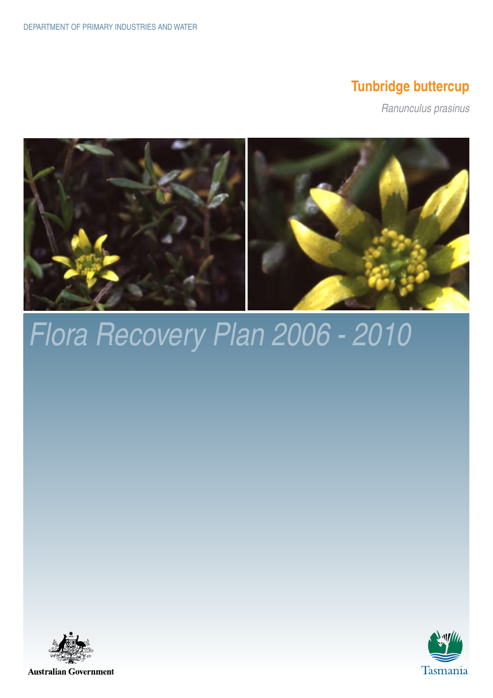# **Tunbridge buttercup**

*Ranunculus prasinus*



# *Flora Recovery Plan 2006 - 2010*



**Australian Government** 

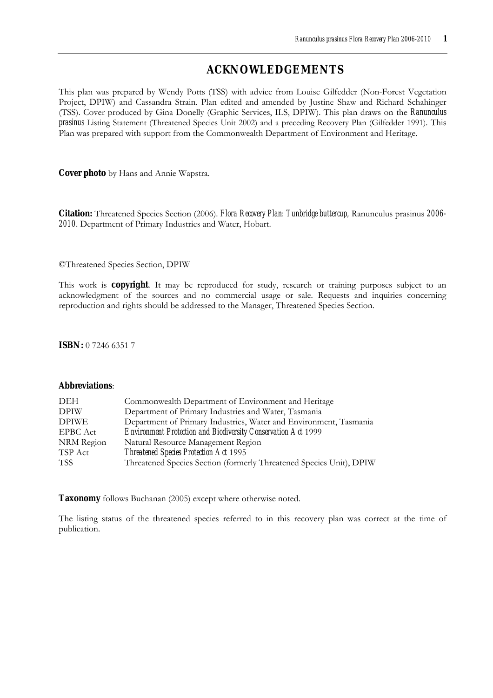### **ACKNOWLEDGEMENTS**

This plan was prepared by Wendy Potts (TSS) with advice from Louise Gilfedder (Non-Forest Vegetation Project, DPIW) and Cassandra Strain. Plan edited and amended by Justine Shaw and Richard Schahinger (TSS). Cover produced by Gina Donelly (Graphic Services, ILS, DPIW). This plan draws on the *Ranunculus prasinus* Listing Statement (Threatened Species Unit 2002) and a preceding Recovery Plan (Gilfedder 1991). This Plan was prepared with support from the Commonwealth Department of Environment and Heritage.

**Cover photo** by Hans and Annie Wapstra.

**Citation:** Threatened Species Section (2006). *Flora Recovery Plan: Tunbridge buttercup,* Ranunculus prasinus *2006- 2010*. Department of Primary Industries and Water, Hobart.

©Threatened Species Section, DPIW

This work is **copyright**. It may be reproduced for study, research or training purposes subject to an acknowledgment of the sources and no commercial usage or sale. Requests and inquiries concerning reproduction and rights should be addressed to the Manager, Threatened Species Section.

**ISBN:** 0 7246 6351 7

#### **Abbreviations**:

| <b>DEH</b>   | Commonwealth Department of Environment and Heritage                 |
|--------------|---------------------------------------------------------------------|
| <b>DPIW</b>  | Department of Primary Industries and Water, Tasmania                |
| <b>DPIWE</b> | Department of Primary Industries, Water and Environment, Tasmania   |
| EPBC Act     | Environment Protection and Biodiversity Conservation Act 1999       |
| NRM Region   | Natural Resource Management Region                                  |
| TSP Act      | Threatened Species Protection Act 1995                              |
| <b>TSS</b>   | Threatened Species Section (formerly Threatened Species Unit), DPIW |

**Taxonomy** follows Buchanan (2005) except where otherwise noted.

The listing status of the threatened species referred to in this recovery plan was correct at the time of publication.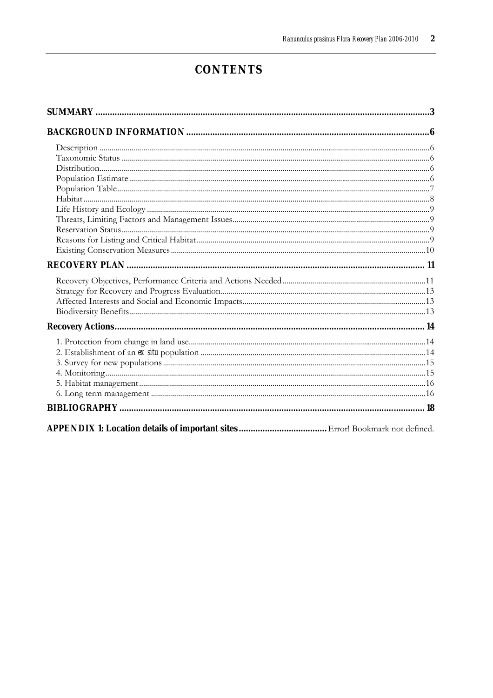## **CONTENTS**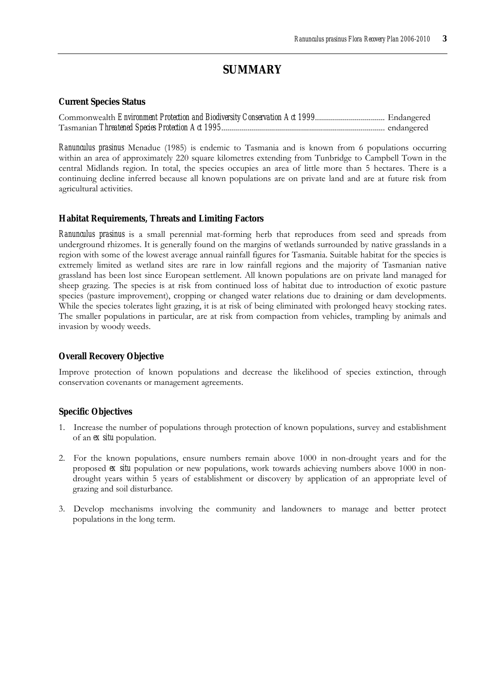## **SUMMARY**

#### **Current Species Status**

Commonwealth *Environment Protection and Biodiversity Conservation Act 1999*................................... Endangered Tasmanian *Threatened Species Protection Act 1995*.................................................................................. endangered

*Ranunculus prasinus* Menadue (1985) is endemic to Tasmania and is known from 6 populations occurring within an area of approximately 220 square kilometres extending from Tunbridge to Campbell Town in the central Midlands region. In total, the species occupies an area of little more than 5 hectares. There is a continuing decline inferred because all known populations are on private land and are at future risk from agricultural activities.

#### **Habitat Requirements, Threats and Limiting Factors**

*Ranunculus prasinus* is a small perennial mat-forming herb that reproduces from seed and spreads from underground rhizomes. It is generally found on the margins of wetlands surrounded by native grasslands in a region with some of the lowest average annual rainfall figures for Tasmania. Suitable habitat for the species is extremely limited as wetland sites are rare in low rainfall regions and the majority of Tasmanian native grassland has been lost since European settlement. All known populations are on private land managed for sheep grazing. The species is at risk from continued loss of habitat due to introduction of exotic pasture species (pasture improvement), cropping or changed water relations due to draining or dam developments. While the species tolerates light grazing, it is at risk of being eliminated with prolonged heavy stocking rates. The smaller populations in particular, are at risk from compaction from vehicles, trampling by animals and invasion by woody weeds.

#### **Overall Recovery Objective**

Improve protection of known populations and decrease the likelihood of species extinction, through conservation covenants or management agreements.

#### **Specific Objectives**

- 1. Increase the number of populations through protection of known populations, survey and establishment of an *ex situ* population.
- 2. For the known populations, ensure numbers remain above 1000 in non-drought years and for the proposed *ex situ* population or new populations, work towards achieving numbers above 1000 in nondrought years within 5 years of establishment or discovery by application of an appropriate level of grazing and soil disturbance*.*
- 3. Develop mechanisms involving the community and landowners to manage and better protect populations in the long term.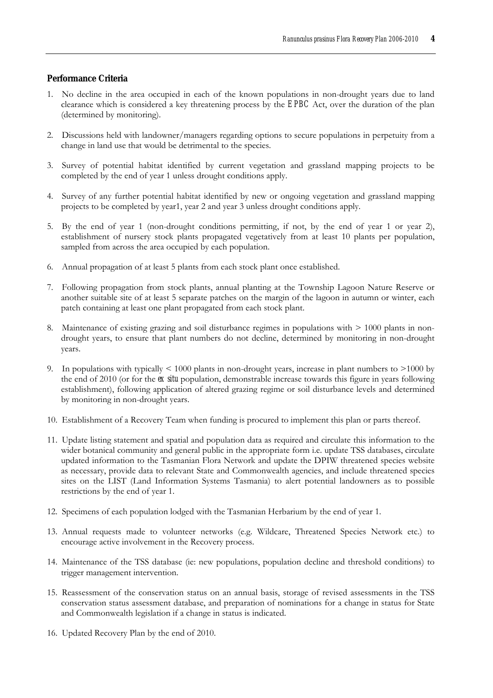#### **Performance Criteria**

- 1. No decline in the area occupied in each of the known populations in non-drought years due to land clearance which is considered a key threatening process by the *EPBC* Act, over the duration of the plan (determined by monitoring).
- 2. Discussions held with landowner/managers regarding options to secure populations in perpetuity from a change in land use that would be detrimental to the species.
- 3. Survey of potential habitat identified by current vegetation and grassland mapping projects to be completed by the end of year 1 unless drought conditions apply.
- 4. Survey of any further potential habitat identified by new or ongoing vegetation and grassland mapping projects to be completed by year1, year 2 and year 3 unless drought conditions apply.
- 5. By the end of year 1 (non-drought conditions permitting, if not, by the end of year 1 or year 2), establishment of nursery stock plants propagated vegetatively from at least 10 plants per population, sampled from across the area occupied by each population.
- 6. Annual propagation of at least 5 plants from each stock plant once established.
- 7. Following propagation from stock plants, annual planting at the Township Lagoon Nature Reserve or another suitable site of at least 5 separate patches on the margin of the lagoon in autumn or winter, each patch containing at least one plant propagated from each stock plant.
- 8. Maintenance of existing grazing and soil disturbance regimes in populations with > 1000 plants in nondrought years, to ensure that plant numbers do not decline, determined by monitoring in non-drought years.
- 9. In populations with typically < 1000 plants in non-drought years, increase in plant numbers to >1000 by the end of 2010 (or for the *ex situ* population, demonstrable increase towards this figure in years following establishment), following application of altered grazing regime or soil disturbance levels and determined by monitoring in non-drought years.
- 10. Establishment of a Recovery Team when funding is procured to implement this plan or parts thereof.
- 11. Update listing statement and spatial and population data as required and circulate this information to the wider botanical community and general public in the appropriate form i.e. update TSS databases, circulate updated information to the Tasmanian Flora Network and update the DPIW threatened species website as necessary, provide data to relevant State and Commonwealth agencies, and include threatened species sites on the LIST (Land Information Systems Tasmania) to alert potential landowners as to possible restrictions by the end of year 1.
- 12. Specimens of each population lodged with the Tasmanian Herbarium by the end of year 1.
- 13. Annual requests made to volunteer networks (e.g. Wildcare, Threatened Species Network etc.) to encourage active involvement in the Recovery process.
- 14. Maintenance of the TSS database (ie: new populations, population decline and threshold conditions) to trigger management intervention.
- 15. Reassessment of the conservation status on an annual basis, storage of revised assessments in the TSS conservation status assessment database, and preparation of nominations for a change in status for State and Commonwealth legislation if a change in status is indicated.
- 16. Updated Recovery Plan by the end of 2010.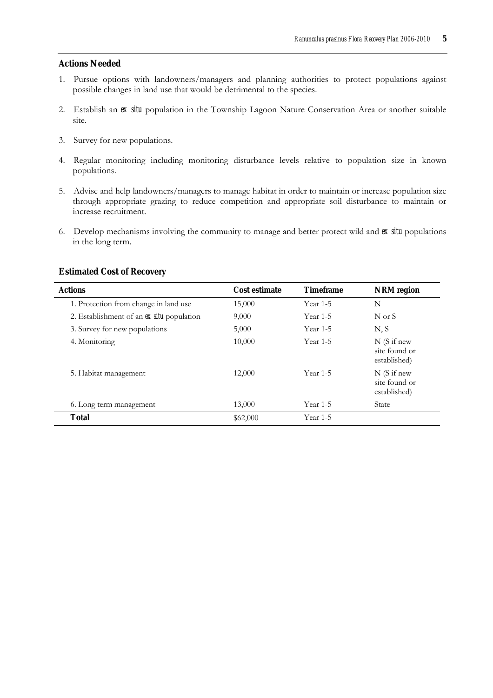#### **Actions Needed**

- 1. Pursue options with landowners/managers and planning authorities to protect populations against possible changes in land use that would be detrimental to the species.
- 2. Establish an *ex situ* population in the Township Lagoon Nature Conservation Area or another suitable site.
- 3. Survey for new populations.
- 4. Regular monitoring including monitoring disturbance levels relative to population size in known populations.
- 5. Advise and help landowners/managers to manage habitat in order to maintain or increase population size through appropriate grazing to reduce competition and appropriate soil disturbance to maintain or increase recruitment.
- 6. Develop mechanisms involving the community to manage and better protect wild and *ex situ* populations in the long term.

| <b>Actions</b>                            | <b>Cost estimate</b> | <b>Timeframe</b> | <b>NRM</b> region                                      |
|-------------------------------------------|----------------------|------------------|--------------------------------------------------------|
| 1. Protection from change in land use     | 15,000               | Year 1-5         | N                                                      |
| 2. Establishment of an ex situ population | 9,000                | Year 1-5         | N or S                                                 |
| 3. Survey for new populations             | 5,000                | Year 1-5         | N, S                                                   |
| 4. Monitoring                             | 10,000               | <b>Year 1-5</b>  | $N(S \text{ if new})$<br>site found or<br>established) |
| 5. Habitat management                     | 12,000               | <b>Year 1-5</b>  | $N(S$ if new<br>site found or<br>established)          |
| 6. Long term management                   | 13,000               | Year 1-5         | State                                                  |
| <b>Total</b>                              | \$62,000             | Year 1-5         |                                                        |

#### **Estimated Cost of Recovery**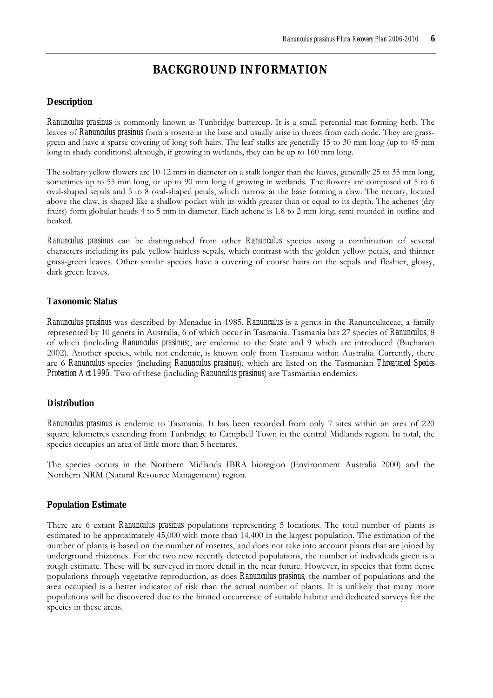## **BACKGROUND INFORMATION**

#### **Description**

*Ranunculus prasinus* is commonly known as Tunbridge buttercup. It is a small perennial mat-forming herb. The leaves of *Ranunculus prasinus* form a rosette at the base and usually arise in threes from each node. They are grassgreen and have a sparse covering of long soft hairs. The leaf stalks are generally 15 to 30 mm long (up to 45 mm long in shady conditions) although, if growing in wetlands, they can be up to 160 mm long.

The solitary yellow flowers are 10-12 mm in diameter on a stalk longer than the leaves, generally 25 to 35 mm long, sometimes up to 55 mm long, or up to 90 mm long if growing in wetlands. The flowers are composed of 5 to 6 oval-shaped sepals and 5 to 8 oval-shaped petals, which narrow at the base forming a claw. The nectary, located above the claw, is shaped like a shallow pocket with its width greater than or equal to its depth. The achenes (dry fruits) form globular heads 4 to 5 mm in diameter. Each achene is 1.8 to 2 mm long, semi-rounded in outline and beaked.

*Ranunculus prasinus* can be distinguished from other *Ranunculus* species using a combination of several characters including its pale yellow hairless sepals, which contrast with the golden yellow petals, and thinner grass-green leaves. Other similar species have a covering of course hairs on the sepals and fleshier, glossy, dark green leaves.

#### **Taxonomic Status**

*Ranunculus prasinus* was described by Menadue in 1985. *Ranunculus* is a genus in the Ranunculaceae, a family represented by 10 genera in Australia, 6 of which occur in Tasmania. Tasmania has 27 species of *Ranunculus*, 8 of which (including *Ranunculus prasinus*), are endemic to the State and 9 which are introduced (Buchanan 2002). Another species, while not endemic, is known only from Tasmania within Australia. Currently, there are 6 *Ranunculus* species (including *Ranunculus prasinus*), which are listed on the Tasmanian *Threatened Species Protection Act 1995.* Two of these (including *Ranunculus prasinus*) are Tasmanian endemics.

#### **Distribution**

*Ranunculus prasinus* is endemic to Tasmania. It has been recorded from only 7 sites within an area of 220 square kilometres extending from Tunbridge to Campbell Town in the central Midlands region. In total, the species occupies an area of little more than 5 hectares.

The species occurs in the Northern Midlands IBRA bioregion (Environment Australia 2000) and the Northern NRM (Natural Resource Management) region.

#### **Population Estimate**

There are 6 extant *Ranunculus prasinus* populations representing 5 locations. The total number of plants is estimated to be approximately 45,000 with more than 14,400 in the largest population. The estimation of the number of plants is based on the number of rosettes, and does not take into account plants that are joined by underground rhizomes. For the two new recently detected populations, the number of individuals given is a rough estimate. These will be surveyed in more detail in the near future. However, in species that form dense populations through vegetative reproduction, as does *Ranunculus prasinus,* the number of populations and the area occupied is a better indicator of risk than the actual number of plants. It is unlikely that many more populations will be discovered due to the limited occurrence of suitable habitat and dedicated surveys for the species in these areas.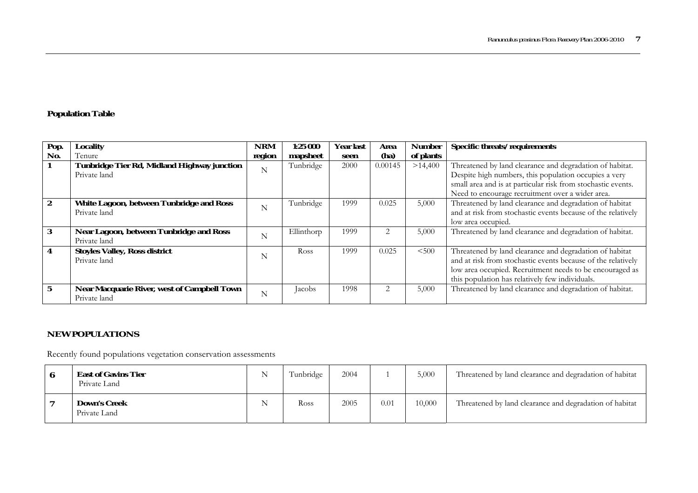## **Population Table**

| Pop.             | <b>Locality</b>                                                    | <b>NRM</b> | 1:25 000   | Year last | Area    | <b>Number</b> | Specific threats/requirements                                                                                                                                                                                                          |
|------------------|--------------------------------------------------------------------|------------|------------|-----------|---------|---------------|----------------------------------------------------------------------------------------------------------------------------------------------------------------------------------------------------------------------------------------|
| No.              | Tenure                                                             | region     | mapsheet   | seen      | (ha)    | of plants     |                                                                                                                                                                                                                                        |
|                  | Tunbridge Tier Rd, Midland Highway junction<br>Private land        | N          | Tunbridge  | 2000      | 0.00145 | >14,400       | Threatened by land clearance and degradation of habitat.<br>Despite high numbers, this population occupies a very<br>small area and is at particular risk from stochastic events.                                                      |
| $\boldsymbol{2}$ | White Lagoon, between Tunbridge and Ross                           |            | Tunbridge  | 1999      | 0.025   | 5,000         | Need to encourage recruitment over a wider area.<br>Threatened by land clearance and degradation of habitat                                                                                                                            |
|                  | Private land                                                       | N          |            |           |         |               | and at risk from stochastic events because of the relatively<br>low area occupied.                                                                                                                                                     |
| 3                | <b>Near Lagoon, between Tunbridge and Ross</b><br>Private land     | N          | Ellinthorp | 1999      |         | 5,000         | Threatened by land clearance and degradation of habitat.                                                                                                                                                                               |
| 4                | <b>Stoyles Valley, Ross district</b><br>Private land               | N          | Ross       | 1999      | 0.025   | < 500         | Threatened by land clearance and degradation of habitat<br>and at risk from stochastic events because of the relatively<br>low area occupied. Recruitment needs to be encouraged as<br>this population has relatively few individuals. |
| $5\overline{ }$  | <b>Near Macquarie River, west of Campbell Town</b><br>Private land | N          | Jacobs     | 1998      |         | 5,000         | Threatened by land clearance and degradation of habitat.                                                                                                                                                                               |

#### **NEW POPULATIONS**

Recently found populations vegetation conservation assessments

| <b>East of Gavins Tier</b><br>Private Land | Tunbridge | 2004 |      | 5,000  | Threatened by land clearance and degradation of habitat |
|--------------------------------------------|-----------|------|------|--------|---------------------------------------------------------|
| <b>Down's Creek</b><br>Private Land        | Ross      | 2005 | 0.01 | 10,000 | Threatened by land clearance and degradation of habitat |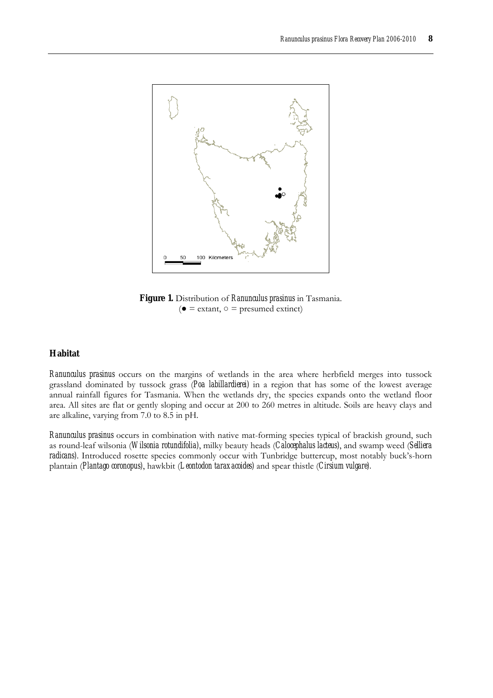

**Figure 1.** Distribution of *Ranunculus prasinus* in Tasmania.  $(e = \text{extant}, o = \text{present})$ 

#### **Habitat**

*Ranunculus prasinus* occurs on the margins of wetlands in the area where herbfield merges into tussock grassland dominated by tussock grass (*Poa labillardierei)* in a region that has some of the lowest average annual rainfall figures for Tasmania. When the wetlands dry, the species expands onto the wetland floor area. All sites are flat or gently sloping and occur at 200 to 260 metres in altitude. Soils are heavy clays and are alkaline, varying from 7.0 to 8.5 in pH.

*Ranunculus prasinus* occurs in combination with native mat-forming species typical of brackish ground, such as round-leaf wilsonia (*Wilsonia rotundifolia)*, milky beauty heads (*Calocephalus lacteus)*, and swamp weed (*Selliera radicans)*. Introduced rosette species commonly occur with Tunbridge buttercup, most notably buck's-horn plantain (*Plantago coronopus)*, hawkbit (*Leontodon taraxacoides)* and spear thistle (*Cirsium vulgare).*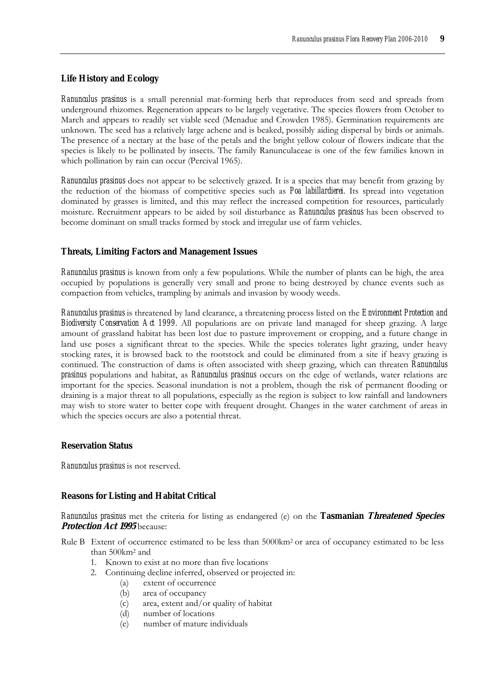#### **Life History and Ecology**

*Ranunculus prasinus* is a small perennial mat-forming herb that reproduces from seed and spreads from underground rhizomes. Regeneration appears to be largely vegetative. The species flowers from October to March and appears to readily set viable seed (Menadue and Crowden 1985). Germination requirements are unknown. The seed has a relatively large achene and is beaked, possibly aiding dispersal by birds or animals. The presence of a nectary at the base of the petals and the bright yellow colour of flowers indicate that the species is likely to be pollinated by insects. The family Ranunculaceae is one of the few families known in which pollination by rain can occur (Percival 1965).

*Ranunculus prasinus* does not appear to be selectively grazed. It is a species that may benefit from grazing by the reduction of the biomass of competitive species such as *Poa labillardierei*. Its spread into vegetation dominated by grasses is limited, and this may reflect the increased competition for resources, particularly moisture. Recruitment appears to be aided by soil disturbance as *Ranunculus prasinus* has been observed to become dominant on small tracks formed by stock and irregular use of farm vehicles.

#### **Threats, Limiting Factors and Management Issues**

*Ranunculus prasinus* is known from only a few populations. While the number of plants can be high, the area occupied by populations is generally very small and prone to being destroyed by chance events such as compaction from vehicles, trampling by animals and invasion by woody weeds.

*Ranunculus prasinus* is threatened by land clearance, a threatening process listed on the *Environment Protection and Biodiversity Conservation Act 1999.* All populations are on private land managed for sheep grazing. A large amount of grassland habitat has been lost due to pasture improvement or cropping, and a future change in land use poses a significant threat to the species. While the species tolerates light grazing, under heavy stocking rates, it is browsed back to the rootstock and could be eliminated from a site if heavy grazing is continued. The construction of dams is often associated with sheep grazing, which can threaten *Ranunculus prasinus* populations and habitat, as *Ranunculus prasinus* occurs on the edge of wetlands, water relations are important for the species. Seasonal inundation is not a problem, though the risk of permanent flooding or draining is a major threat to all populations, especially as the region is subject to low rainfall and landowners may wish to store water to better cope with frequent drought. Changes in the water catchment of areas in which the species occurs are also a potential threat.

#### **Reservation Status**

*Ranunculus prasinus* is not reserved.

#### **Reasons for Listing and Habitat Critical**

*Ranunculus prasinus* met the criteria for listing as endangered (e) on the **Tasmanian Threatened Species Protection Act 1995** because:

- Rule B Extent of occurrence estimated to be less than 5000km2 or area of occupancy estimated to be less than 500km2 and
	- 1. Known to exist at no more than five locations
	- 2. Continuing decline inferred, observed or projected in:
		- (a) extent of occurrence
		- (b) area of occupancy
		- (c) area, extent and/or quality of habitat
		- (d) number of locations
		- (e) number of mature individuals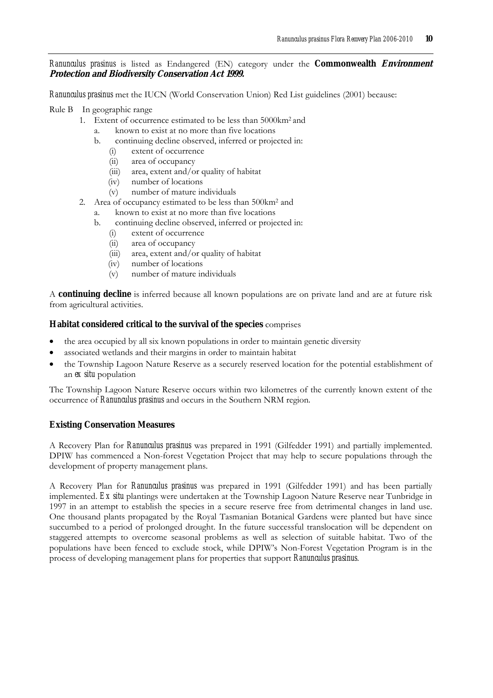#### *Ranunculus prasinus* is listed as Endangered (EN) category under the **Commonwealth Environment Protection and Biodiversity Conservation Act 1999.**

*Ranunculus prasinus* met the IUCN (World Conservation Union) Red List guidelines (2001) because:

- Rule B In geographic range
	- 1. Extent of occurrence estimated to be less than 5000km2 and
		- a. known to exist at no more than five locations
		- b. continuing decline observed, inferred or projected in:
			- (i) extent of occurrence
			- (ii) area of occupancy
			- (iii) area, extent and/or quality of habitat
			- (iv) number of locations
			- (v) number of mature individuals
	- 2. Area of occupancy estimated to be less than 500km2 and
		- known to exist at no more than five locations
		- b. continuing decline observed, inferred or projected in:
			- (i) extent of occurrence
			- (ii) area of occupancy
			- (iii) area, extent and/or quality of habitat
			- (iv) number of locations
			- (v) number of mature individuals

A **continuing decline** is inferred because all known populations are on private land and are at future risk from agricultural activities.

#### **Habitat considered critical to the survival of the species** comprises

- the area occupied by all six known populations in order to maintain genetic diversity
- associated wetlands and their margins in order to maintain habitat
- the Township Lagoon Nature Reserve as a securely reserved location for the potential establishment of an *ex situ* population

The Township Lagoon Nature Reserve occurs within two kilometres of the currently known extent of the occurrence of *Ranunculus prasinus* and occurs in the Southern NRM region*.*

#### **Existing Conservation Measures**

A Recovery Plan for *Ranunculus prasinus* was prepared in 1991 (Gilfedder 1991) and partially implemented. DPIW has commenced a Non-forest Vegetation Project that may help to secure populations through the development of property management plans.

A Recovery Plan for *Ranunculus prasinus* was prepared in 1991 (Gilfedder 1991) and has been partially implemented. *Ex situ* plantings were undertaken at the Township Lagoon Nature Reserve near Tunbridge in 1997 in an attempt to establish the species in a secure reserve free from detrimental changes in land use. One thousand plants propagated by the Royal Tasmanian Botanical Gardens were planted but have since succumbed to a period of prolonged drought. In the future successful translocation will be dependent on staggered attempts to overcome seasonal problems as well as selection of suitable habitat. Two of the populations have been fenced to exclude stock, while DPIW's Non-Forest Vegetation Program is in the process of developing management plans for properties that support *Ranunculus prasinus*.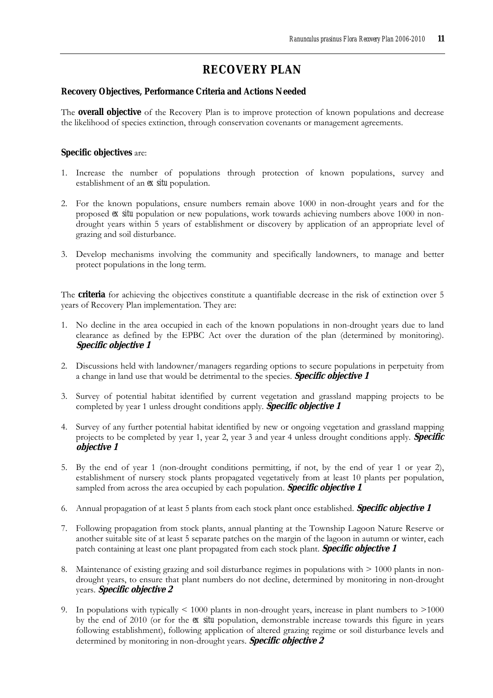## **RECOVERY PLAN**

#### **Recovery Objectives, Performance Criteria and Actions Needed**

The **overall objective** of the Recovery Plan is to improve protection of known populations and decrease the likelihood of species extinction, through conservation covenants or management agreements.

#### **Specific objectives** are:

- 1. Increase the number of populations through protection of known populations, survey and establishment of an *ex situ* population.
- 2. For the known populations, ensure numbers remain above 1000 in non-drought years and for the proposed *ex situ* population or new populations, work towards achieving numbers above 1000 in nondrought years within 5 years of establishment or discovery by application of an appropriate level of grazing and soil disturbance*.*
- 3. Develop mechanisms involving the community and specifically landowners, to manage and better protect populations in the long term.

The **criteria** for achieving the objectives constitute a quantifiable decrease in the risk of extinction over 5 years of Recovery Plan implementation. They are:

- 1. No decline in the area occupied in each of the known populations in non-drought years due to land clearance as defined by the EPBC Act over the duration of the plan (determined by monitoring). **Specific objective 1**
- 2. Discussions held with landowner/managers regarding options to secure populations in perpetuity from a change in land use that would be detrimental to the species. **Specific objective 1**
- 3. Survey of potential habitat identified by current vegetation and grassland mapping projects to be completed by year 1 unless drought conditions apply. **Specific objective 1**
- 4. Survey of any further potential habitat identified by new or ongoing vegetation and grassland mapping projects to be completed by year 1, year 2, year 3 and year 4 unless drought conditions apply. **Specific objective 1**
- 5. By the end of year 1 (non-drought conditions permitting, if not, by the end of year 1 or year 2), establishment of nursery stock plants propagated vegetatively from at least 10 plants per population, sampled from across the area occupied by each population. **Specific objective 1**.
- 6. Annual propagation of at least 5 plants from each stock plant once established. **Specific objective 1**
- 7. Following propagation from stock plants, annual planting at the Township Lagoon Nature Reserve or another suitable site of at least 5 separate patches on the margin of the lagoon in autumn or winter, each patch containing at least one plant propagated from each stock plant. **Specific objective 1**
- 8. Maintenance of existing grazing and soil disturbance regimes in populations with > 1000 plants in nondrought years, to ensure that plant numbers do not decline, determined by monitoring in non-drought years. **Specific objective 2**
- 9. In populations with typically < 1000 plants in non-drought years, increase in plant numbers to >1000 by the end of 2010 (or for the *ex situ* population, demonstrable increase towards this figure in years following establishment), following application of altered grazing regime or soil disturbance levels and determined by monitoring in non-drought years. **Specific objective 2**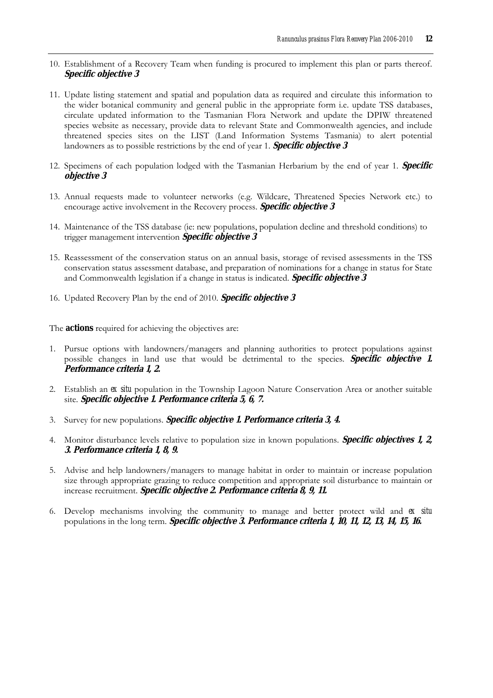- 10. Establishment of a Recovery Team when funding is procured to implement this plan or parts thereof. **Specific objective 3**
- 11. Update listing statement and spatial and population data as required and circulate this information to the wider botanical community and general public in the appropriate form i.e. update TSS databases, circulate updated information to the Tasmanian Flora Network and update the DPIW threatened species website as necessary, provide data to relevant State and Commonwealth agencies, and include threatened species sites on the LIST (Land Information Systems Tasmania) to alert potential landowners as to possible restrictions by the end of year 1. **Specific objective 3**
- 12. Specimens of each population lodged with the Tasmanian Herbarium by the end of year 1. **Specific objective 3**
- 13. Annual requests made to volunteer networks (e.g. Wildcare, Threatened Species Network etc.) to encourage active involvement in the Recovery process. **Specific objective 3**
- 14. Maintenance of the TSS database (ie: new populations, population decline and threshold conditions) to trigger management intervention **Specific objective 3**
- 15. Reassessment of the conservation status on an annual basis, storage of revised assessments in the TSS conservation status assessment database, and preparation of nominations for a change in status for State and Commonwealth legislation if a change in status is indicated. **Specific objective 3**
- 16. Updated Recovery Plan by the end of 2010. **Specific objective 3**

The **actions** required for achieving the objectives are:

- 1. Pursue options with landowners/managers and planning authorities to protect populations against possible changes in land use that would be detrimental to the species. **Specific objective 1. Performance criteria 1, 2.**
- 2. Establish an *ex situ* population in the Township Lagoon Nature Conservation Area or another suitable site. **Specific objective 1. Performance criteria 5, 6, 7.**
- 3. Survey for new populations. **Specific objective 1. Performance criteria 3, 4.**
- 4. Monitor disturbance levels relative to population size in known populations. **Specific objectives 1, 2, 3. Performance criteria 1, 8, 9.**
- 5. Advise and help landowners/managers to manage habitat in order to maintain or increase population size through appropriate grazing to reduce competition and appropriate soil disturbance to maintain or increase recruitment. **Specific objective 2. Performance criteria 8, 9, 11.**
- 6. Develop mechanisms involving the community to manage and better protect wild and *ex situ* populations in the long term. **Specific objective 3. Performance criteria 1, 10, 11, 12, 13, 14, 15, 16.**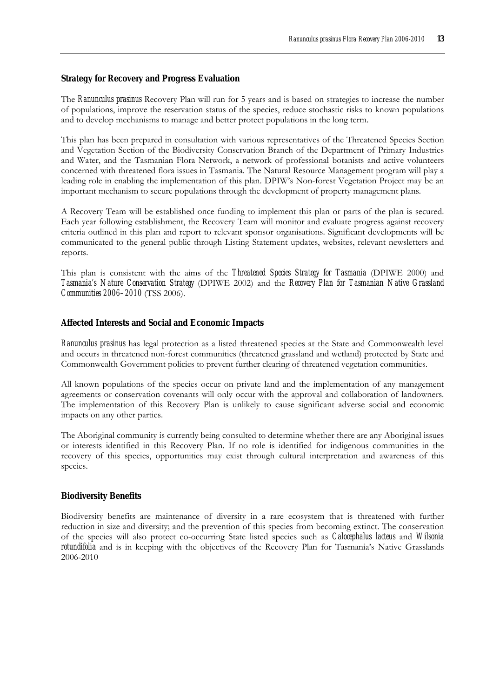#### **Strategy for Recovery and Progress Evaluation**

The *Ranunculus prasinus* Recovery Plan will run for 5 years and is based on strategies to increase the number of populations, improve the reservation status of the species, reduce stochastic risks to known populations and to develop mechanisms to manage and better protect populations in the long term.

This plan has been prepared in consultation with various representatives of the Threatened Species Section and Vegetation Section of the Biodiversity Conservation Branch of the Department of Primary Industries and Water, and the Tasmanian Flora Network, a network of professional botanists and active volunteers concerned with threatened flora issues in Tasmania. The Natural Resource Management program will play a leading role in enabling the implementation of this plan. DPIW's Non-forest Vegetation Project may be an important mechanism to secure populations through the development of property management plans.

A Recovery Team will be established once funding to implement this plan or parts of the plan is secured. Each year following establishment, the Recovery Team will monitor and evaluate progress against recovery criteria outlined in this plan and report to relevant sponsor organisations. Significant developments will be communicated to the general public through Listing Statement updates, websites, relevant newsletters and reports.

This plan is consistent with the aims of the *Threatened Species Strategy for Tasmania* (DPIWE 2000) and *Tasmania's Nature Conservation Strategy* (DPIWE 2002) and the *Recovery Plan for Tasmanian Native Grassland Communities 2006–2010* (TSS 2006).

#### **Affected Interests and Social and Economic Impacts**

*Ranunculus prasinus* has legal protection as a listed threatened species at the State and Commonwealth level and occurs in threatened non-forest communities (threatened grassland and wetland) protected by State and Commonwealth Government policies to prevent further clearing of threatened vegetation communities.

All known populations of the species occur on private land and the implementation of any management agreements or conservation covenants will only occur with the approval and collaboration of landowners. The implementation of this Recovery Plan is unlikely to cause significant adverse social and economic impacts on any other parties.

The Aboriginal community is currently being consulted to determine whether there are any Aboriginal issues or interests identified in this Recovery Plan. If no role is identified for indigenous communities in the recovery of this species, opportunities may exist through cultural interpretation and awareness of this species.

#### **Biodiversity Benefits**

Biodiversity benefits are maintenance of diversity in a rare ecosystem that is threatened with further reduction in size and diversity; and the prevention of this species from becoming extinct. The conservation of the species will also protect co-occurring State listed species such as *Calocephalus lacteus* and *Wilsonia rotundifolia* and is in keeping with the objectives of the Recovery Plan for Tasmania's Native Grasslands 2006-2010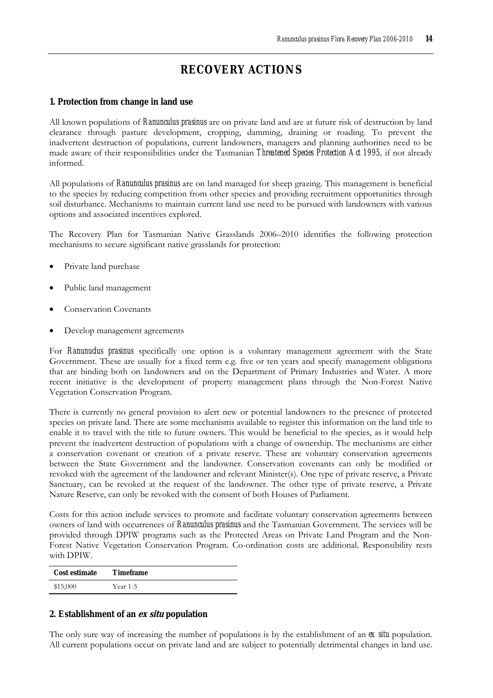## **RECOVERY ACTIONS**

#### **1. Protection from change in land use**

All known populations of *Ranunculus prasinus* are on private land and are at future risk of destruction by land clearance through pasture development, cropping, damming, draining or roading. To prevent the inadvertent destruction of populations, current landowners, managers and planning authorities need to be made aware of their responsibilities under the Tasmanian *Threatened Species Protection Act 1995,* if not already informed.

All populations of *Ranunculus prasinus* are on land managed for sheep grazing. This management is beneficial to the species by reducing competition from other species and providing recruitment opportunities through soil disturbance. Mechanisms to maintain current land use need to be pursued with landowners with various options and associated incentives explored.

The Recovery Plan for Tasmanian Native Grasslands 2006–2010 identifies the following protection mechanisms to secure significant native grasslands for protection:

- Private land purchase
- Public land management
- Conservation Covenants
- Develop management agreements

For *Ranunuclus prasinus* specifically one option is a voluntary management agreement with the State Government. These are usually for a fixed term e.g. five or ten years and specify management obligations that are binding both on landowners and on the Department of Primary Industries and Water. A more recent initiative is the development of property management plans through the Non-Forest Native Vegetation Conservation Program.

There is currently no general provision to alert new or potential landowners to the presence of protected species on private land. There are some mechanisms available to register this information on the land title to enable it to travel with the title to future owners. This would be beneficial to the species, as it would help prevent the inadvertent destruction of populations with a change of ownership. The mechanisms are either a conservation covenant or creation of a private reserve. These are voluntary conservation agreements between the State Government and the landowner. Conservation covenants can only be modified or revoked with the agreement of the landowner and relevant Minister(s). One type of private reserve, a Private Sanctuary, can be revoked at the request of the landowner. The other type of private reserve, a Private Nature Reserve, can only be revoked with the consent of both Houses of Parliament*.*

Costs for this action include services to promote and facilitate voluntary conservation agreements between owners of land with occurrences of *Ranunculus prasinus* and the Tasmanian Government. The services will be provided through DPIW programs such as the Protected Areas on Private Land Program and the Non-Forest Native Vegetation Conservation Program. Co-ordination costs are additional. Responsibility rests with DPIW.

| Cost estimate | <b>Timeframe</b> |
|---------------|------------------|
| \$15,000      | Year 1-5         |

#### **2. Establishment of an ex situ population**

The only sure way of increasing the number of populations is by the establishment of an *ex situ* population. All current populations occur on private land and are subject to potentially detrimental changes in land use.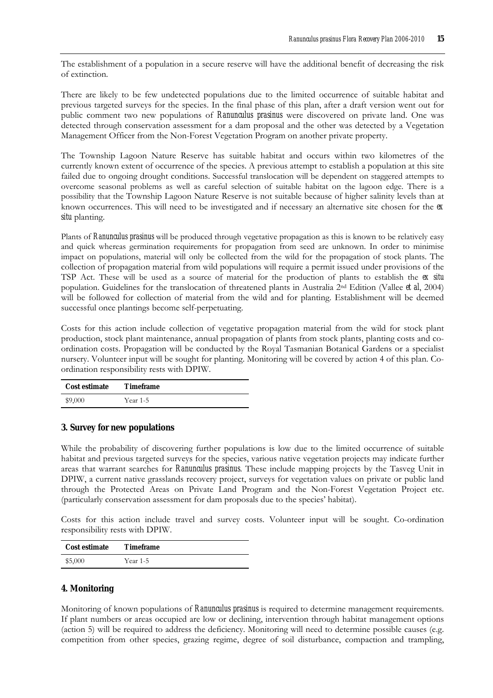The establishment of a population in a secure reserve will have the additional benefit of decreasing the risk of extinction.

There are likely to be few undetected populations due to the limited occurrence of suitable habitat and previous targeted surveys for the species. In the final phase of this plan, after a draft version went out for public comment two new populations of *Ranunculus prasinus* were discovered on private land. One was detected through conservation assessment for a dam proposal and the other was detected by a Vegetation Management Officer from the Non-Forest Vegetation Program on another private property.

The Township Lagoon Nature Reserve has suitable habitat and occurs within two kilometres of the currently known extent of occurrence of the species. A previous attempt to establish a population at this site failed due to ongoing drought conditions. Successful translocation will be dependent on staggered attempts to overcome seasonal problems as well as careful selection of suitable habitat on the lagoon edge. There is a possibility that the Township Lagoon Nature Reserve is not suitable because of higher salinity levels than at known occurrences. This will need to be investigated and if necessary an alternative site chosen for the *ex situ* planting.

Plants of *Ranunculus prasinus* will be produced through vegetative propagation as this is known to be relatively easy and quick whereas germination requirements for propagation from seed are unknown. In order to minimise impact on populations, material will only be collected from the wild for the propagation of stock plants. The collection of propagation material from wild populations will require a permit issued under provisions of the TSP Act. These will be used as a source of material for the production of plants to establish the *ex situ* population. Guidelines for the translocation of threatened plants in Australia 2nd Edition (Vallee *et al*, 2004) will be followed for collection of material from the wild and for planting. Establishment will be deemed successful once plantings become self-perpetuating.

Costs for this action include collection of vegetative propagation material from the wild for stock plant production, stock plant maintenance, annual propagation of plants from stock plants, planting costs and coordination costs. Propagation will be conducted by the Royal Tasmanian Botanical Gardens or a specialist nursery. Volunteer input will be sought for planting. Monitoring will be covered by action 4 of this plan. Coordination responsibility rests with DPIW.

| Cost estimate | <b>Timeframe</b> |
|---------------|------------------|
| \$9,000       | Year 1-5         |

#### **3. Survey for new populations**

While the probability of discovering further populations is low due to the limited occurrence of suitable habitat and previous targeted surveys for the species, various native vegetation projects may indicate further areas that warrant searches for *Ranunculus prasinus*. These include mapping projects by the Tasveg Unit in DPIW, a current native grasslands recovery project, surveys for vegetation values on private or public land through the Protected Areas on Private Land Program and the Non-Forest Vegetation Project etc. (particularly conservation assessment for dam proposals due to the species' habitat).

Costs for this action include travel and survey costs. Volunteer input will be sought. Co-ordination responsibility rests with DPIW.

| Cost estimate | <b>Timeframe</b> |
|---------------|------------------|
| \$5,000       | Year 1-5         |

#### **4. Monitoring**

Monitoring of known populations of *Ranunculus prasinus* is required to determine management requirements. If plant numbers or areas occupied are low or declining, intervention through habitat management options (action 5) will be required to address the deficiency. Monitoring will need to determine possible causes (e.g. competition from other species, grazing regime, degree of soil disturbance, compaction and trampling,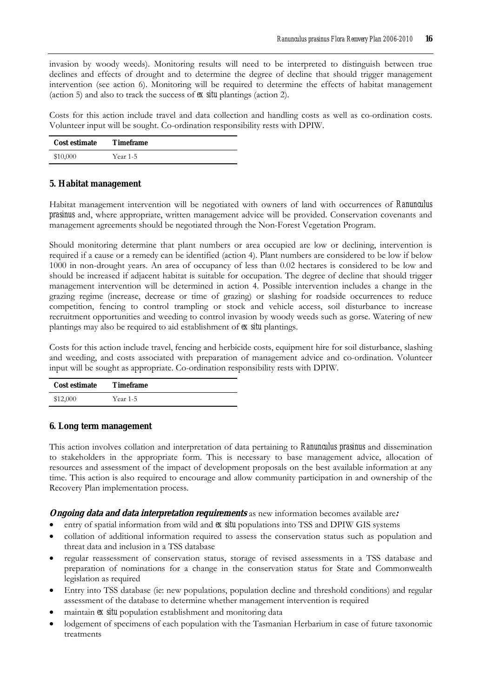invasion by woody weeds). Monitoring results will need to be interpreted to distinguish between true declines and effects of drought and to determine the degree of decline that should trigger management intervention (see action 6). Monitoring will be required to determine the effects of habitat management (action 5) and also to track the success of *ex situ* plantings (action 2).

Costs for this action include travel and data collection and handling costs as well as co-ordination costs. Volunteer input will be sought. Co-ordination responsibility rests with DPIW.

| <b>Cost estimate</b> | <b>Timeframe</b> |
|----------------------|------------------|
| \$10,000             | Year 1-5         |

#### **5. Habitat management**

Habitat management intervention will be negotiated with owners of land with occurrences of *Ranunculus prasinus* and, where appropriate, written management advice will be provided. Conservation covenants and management agreements should be negotiated through the Non-Forest Vegetation Program.

Should monitoring determine that plant numbers or area occupied are low or declining, intervention is required if a cause or a remedy can be identified (action 4). Plant numbers are considered to be low if below 1000 in non-drought years. An area of occupancy of less than 0.02 hectares is considered to be low and should be increased if adjacent habitat is suitable for occupation. The degree of decline that should trigger management intervention will be determined in action 4. Possible intervention includes a change in the grazing regime (increase, decrease or time of grazing) or slashing for roadside occurrences to reduce competition, fencing to control trampling or stock and vehicle access, soil disturbance to increase recruitment opportunities and weeding to control invasion by woody weeds such as gorse. Watering of new plantings may also be required to aid establishment of *ex situ* plantings.

Costs for this action include travel, fencing and herbicide costs, equipment hire for soil disturbance, slashing and weeding, and costs associated with preparation of management advice and co-ordination. Volunteer input will be sought as appropriate. Co-ordination responsibility rests with DPIW.

| Cost estimate | <b>Timeframe</b> |
|---------------|------------------|
| \$12,000      | Year 1-5         |

#### **6. Long term management**

This action involves collation and interpretation of data pertaining to *Ranunculus prasinus* and dissemination to stakeholders in the appropriate form. This is necessary to base management advice, allocation of resources and assessment of the impact of development proposals on the best available information at any time. This action is also required to encourage and allow community participation in and ownership of the Recovery Plan implementation process.

*Ongoing data and data interpretation requirements* **as new information becomes available are:** 

- entry of spatial information from wild and *ex situ* populations into TSS and DPIW GIS systems
- collation of additional information required to assess the conservation status such as population and threat data and inclusion in a TSS database
- regular reassessment of conservation status, storage of revised assessments in a TSS database and preparation of nominations for a change in the conservation status for State and Commonwealth legislation as required
- Entry into TSS database (ie: new populations, population decline and threshold conditions) and regular assessment of the database to determine whether management intervention is required
- maintain *ex situ* population establishment and monitoring data
- lodgement of specimens of each population with the Tasmanian Herbarium in case of future taxonomic treatments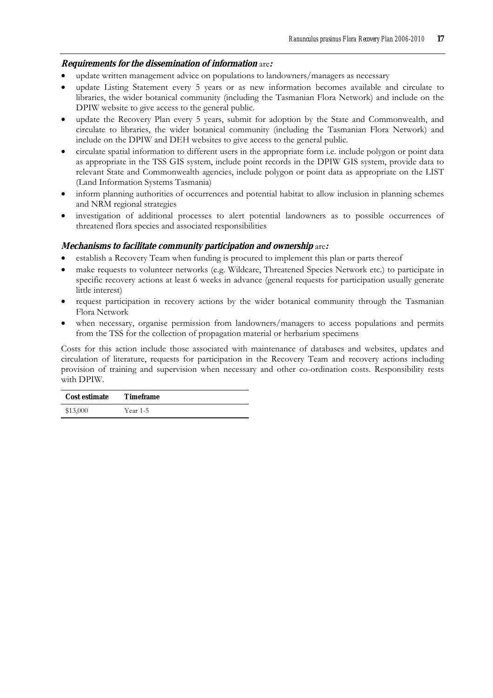#### **Requirements for the dissemination of information** are**:**

- update written management advice on populations to landowners/managers as necessary
- update Listing Statement every 5 years or as new information becomes available and circulate to libraries, the wider botanical community (including the Tasmanian Flora Network) and include on the DPIW website to give access to the general public.
- update the Recovery Plan every 5 years, submit for adoption by the State and Commonwealth, and circulate to libraries, the wider botanical community (including the Tasmanian Flora Network) and include on the DPIW and DEH websites to give access to the general public.
- circulate spatial information to different users in the appropriate form i.e. include polygon or point data as appropriate in the TSS GIS system, include point records in the DPIW GIS system, provide data to relevant State and Commonwealth agencies, include polygon or point data as appropriate on the LIST (Land Information Systems Tasmania)
- inform planning authorities of occurrences and potential habitat to allow inclusion in planning schemes and NRM regional strategies
- investigation of additional processes to alert potential landowners as to possible occurrences of threatened flora species and associated responsibilities

#### **Mechanisms to facilitate community participation and ownership** are**:**

- establish a Recovery Team when funding is procured to implement this plan or parts thereof
- make requests to volunteer networks (e.g. Wildcare, Threatened Species Network etc.) to participate in specific recovery actions at least 6 weeks in advance (general requests for participation usually generate little interest)
- request participation in recovery actions by the wider botanical community through the Tasmanian Flora Network
- when necessary, organise permission from landowners/managers to access populations and permits from the TSS for the collection of propagation material or herbarium specimens

Costs for this action include those associated with maintenance of databases and websites, updates and circulation of literature, requests for participation in the Recovery Team and recovery actions including provision of training and supervision when necessary and other co-ordination costs. Responsibility rests with DPIW.

| Cost estimate | <b>Timeframe</b> |
|---------------|------------------|
| \$13,000      | Year 1-5         |